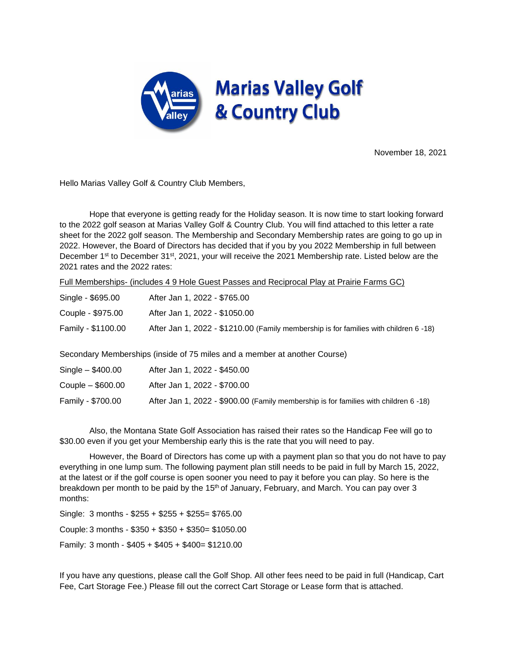

November 18, 2021

Hello Marias Valley Golf & Country Club Members,

Hope that everyone is getting ready for the Holiday season. It is now time to start looking forward to the 2022 golf season at Marias Valley Golf & Country Club. You will find attached to this letter a rate sheet for the 2022 golf season. The Membership and Secondary Membership rates are going to go up in 2022. However, the Board of Directors has decided that if you by you 2022 Membership in full between December 1<sup>st</sup> to December 31<sup>st</sup>, 2021, your will receive the 2021 Membership rate. Listed below are the 2021 rates and the 2022 rates:

Full Memberships- (includes 4 9 Hole Guest Passes and Reciprocal Play at Prairie Farms GC)

| Single - \$695.00  | After Jan 1, 2022 - \$765.00                                                          |
|--------------------|---------------------------------------------------------------------------------------|
| Couple - \$975.00  | After Jan 1, 2022 - \$1050.00                                                         |
| Family - \$1100.00 | After Jan 1, 2022 - \$1210.00 (Family membership is for families with children 6 -18) |
|                    |                                                                                       |

Secondary Memberships (inside of 75 miles and a member at another Course)

| $Single - $400.00$  | After Jan 1, 2022 - \$450.00                                                         |
|---------------------|--------------------------------------------------------------------------------------|
| Couple $-$ \$600.00 | After Jan 1, 2022 - \$700.00                                                         |
| Family - \$700.00   | After Jan 1, 2022 - \$900.00 (Family membership is for families with children 6 -18) |

Also, the Montana State Golf Association has raised their rates so the Handicap Fee will go to \$30.00 even if you get your Membership early this is the rate that you will need to pay.

However, the Board of Directors has come up with a payment plan so that you do not have to pay everything in one lump sum. The following payment plan still needs to be paid in full by March 15, 2022, at the latest or if the golf course is open sooner you need to pay it before you can play. So here is the breakdown per month to be paid by the 15<sup>th</sup> of January, February, and March. You can pay over 3 months:

Single: 3 months - \$255 + \$255 + \$255= \$765.00 Couple: 3 months - \$350 + \$350 + \$350= \$1050.00 Family: 3 month - \$405 + \$405 + \$400= \$1210.00

If you have any questions, please call the Golf Shop. All other fees need to be paid in full (Handicap, Cart Fee, Cart Storage Fee.) Please fill out the correct Cart Storage or Lease form that is attached.